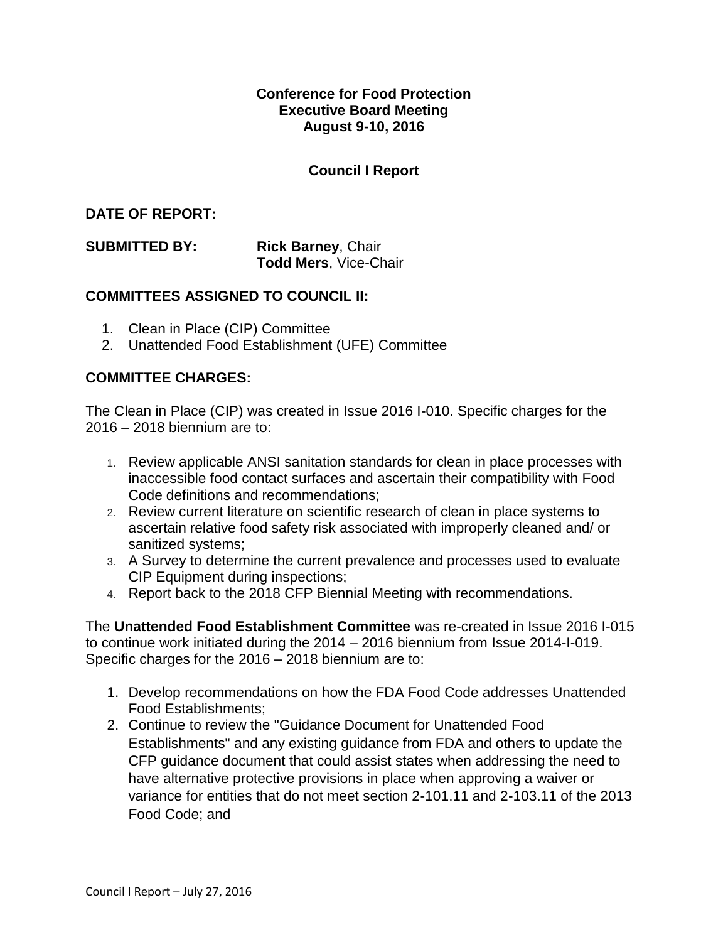### **Conference for Food Protection Executive Board Meeting August 9-10, 2016**

# **Council I Report**

### **DATE OF REPORT:**

**SUBMITTED BY:** Rick Barney, Chair **Todd Mers**, Vice-Chair

#### **COMMITTEES ASSIGNED TO COUNCIL II:**

- 1. Clean in Place (CIP) Committee
- 2. Unattended Food Establishment (UFE) Committee

#### **COMMITTEE CHARGES:**

The Clean in Place (CIP) was created in Issue 2016 I-010. Specific charges for the 2016 – 2018 biennium are to:

- 1. Review applicable ANSI sanitation standards for clean in place processes with inaccessible food contact surfaces and ascertain their compatibility with Food Code definitions and recommendations;
- 2. Review current literature on scientific research of clean in place systems to ascertain relative food safety risk associated with improperly cleaned and/ or sanitized systems;
- 3. A Survey to determine the current prevalence and processes used to evaluate CIP Equipment during inspections;
- 4. Report back to the 2018 CFP Biennial Meeting with recommendations.

The **Unattended Food Establishment Committee** was re-created in Issue 2016 I-015 to continue work initiated during the 2014 – 2016 biennium from Issue 2014-I-019. Specific charges for the 2016 – 2018 biennium are to:

- 1. Develop recommendations on how the FDA Food Code addresses Unattended Food Establishments;
- 2. Continue to review the "Guidance Document for Unattended Food Establishments" and any existing guidance from FDA and others to update the CFP guidance document that could assist states when addressing the need to have alternative protective provisions in place when approving a waiver or variance for entities that do not meet section 2-101.11 and 2-103.11 of the 2013 Food Code; and